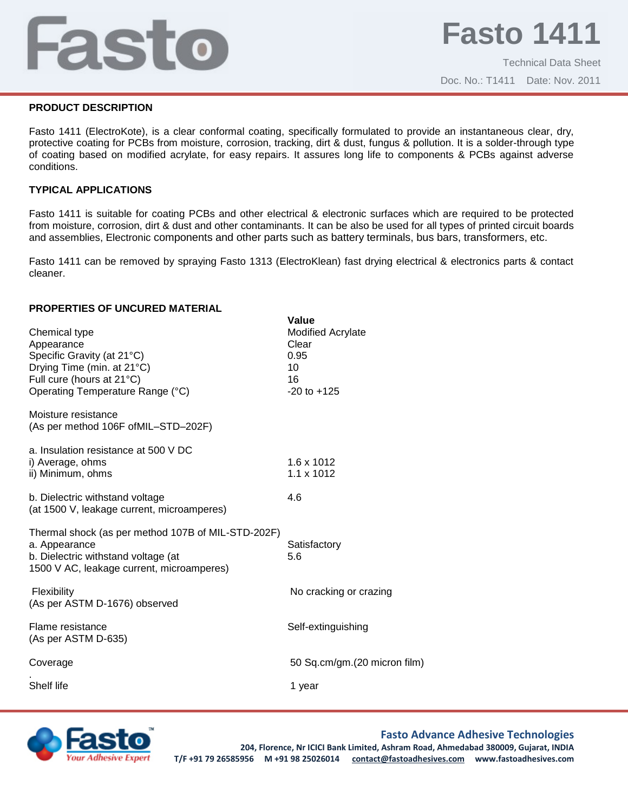# Fasto

Technical Data Sheet Doc. No.: T1411 Date: Nov. 2011

# **PRODUCT DESCRIPTION**

Fasto 1411 (ElectroKote), is a clear conformal coating, specifically formulated to provide an instantaneous clear, dry, protective coating for PCBs from moisture, corrosion, tracking, dirt & dust, fungus & pollution. It is a solder-through type of coating based on modified acrylate, for easy repairs. It assures long life to components & PCBs against adverse conditions.

# **TYPICAL APPLICATIONS**

Fasto 1411 is suitable for coating PCBs and other electrical & electronic surfaces which are required to be protected from moisture, corrosion, dirt & dust and other contaminants. It can be also be used for all types of printed circuit boards and assemblies, Electronic components and other parts such as battery terminals, bus bars, transformers, etc.

Fasto 1411 can be removed by spraying Fasto 1313 (ElectroKlean) fast drying electrical & electronics parts & contact cleaner.

#### **PROPERTIES OF UNCURED MATERIAL**

| Chemical type<br>Appearance<br>Specific Gravity (at 21°C)<br>Drying Time (min. at 21°C)<br>Full cure (hours at 21°C)<br>Operating Temperature Range (°C) | Value<br><b>Modified Acrylate</b><br>Clear<br>0.95<br>10<br>16<br>$-20$ to $+125$ |
|----------------------------------------------------------------------------------------------------------------------------------------------------------|-----------------------------------------------------------------------------------|
| Moisture resistance<br>(As per method 106F of MIL-STD-202F)                                                                                              |                                                                                   |
| a. Insulation resistance at 500 V DC<br>i) Average, ohms<br>ii) Minimum, ohms                                                                            | 1.6 x 1012<br>$1.1 \times 1012$                                                   |
| b. Dielectric withstand voltage<br>(at 1500 V, leakage current, microamperes)                                                                            | 4.6                                                                               |
| Thermal shock (as per method 107B of MIL-STD-202F)<br>a. Appearance<br>b. Dielectric withstand voltage (at<br>1500 V AC, leakage current, microamperes)  | Satisfactory<br>5.6                                                               |
| Flexibility<br>(As per ASTM D-1676) observed                                                                                                             | No cracking or crazing                                                            |
| Flame resistance<br>(As per ASTM D-635)                                                                                                                  | Self-extinguishing                                                                |
| Coverage                                                                                                                                                 | 50 Sq.cm/gm.(20 micron film)                                                      |
| Shelf life                                                                                                                                               | 1 year                                                                            |



# **Fasto Advance Adhesive Technologies**

**204, Florence, Nr ICICI Bank Limited, Ashram Road, Ahmedabad 380009, Gujarat, INDIA T/F +91 79 26585956 M +91 98 25026014 contact@fastoadhesives.com www.fastoadhesives.com**